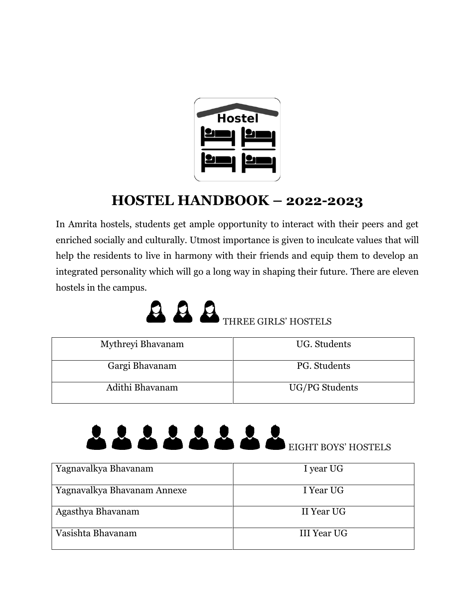

# **HOSTEL HANDBOOK – 2022-2023**

In Amrita hostels, students get ample opportunity to interact with their peers and get enriched socially and culturally. Utmost importance is given to inculcate values that will help the residents to live in harmony with their friends and equip them to develop an integrated personality which will go a long way in shaping their future. There are eleven hostels in the campus.



| Mythreyi Bhavanam | UG. Students   |
|-------------------|----------------|
| Gargi Bhavanam    | PG. Students   |
| Adithi Bhavanam   | UG/PG Students |



| Yagnavalkya Bhavanam        | I year UG   |
|-----------------------------|-------------|
|                             |             |
| Yagnavalkya Bhavanam Annexe | I Year UG   |
|                             |             |
| Agasthya Bhavanam           | II Year UG  |
|                             |             |
| Vasishta Bhavanam           | III Year UG |
|                             |             |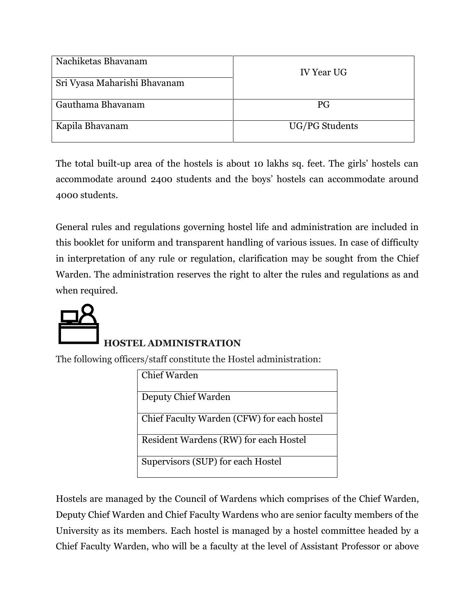| Nachiketas Bhavanam<br>Sri Vyasa Maharishi Bhavanam | <b>IV Year UG</b> |
|-----------------------------------------------------|-------------------|
| Gauthama Bhavanam                                   | PG                |
| Kapila Bhavanam                                     | UG/PG Students    |

The total built-up area of the hostels is about 10 lakhs sq. feet. The girls' hostels can accommodate around 2400 students and the boys' hostels can accommodate around 4000 students.

General rules and regulations governing hostel life and administration are included in this booklet for uniform and transparent handling of various issues. In case of difficulty in interpretation of any rule or regulation, clarification may be sought from the Chief Warden. The administration reserves the right to alter the rules and regulations as and when required.



#### **HOSTEL ADMINISTRATION**

The following officers/staff constitute the Hostel administration:

| Chief Warden                               |
|--------------------------------------------|
| Deputy Chief Warden                        |
| Chief Faculty Warden (CFW) for each hostel |
| Resident Wardens (RW) for each Hostel      |
| Supervisors (SUP) for each Hostel          |

Hostels are managed by the Council of Wardens which comprises of the Chief Warden, Deputy Chief Warden and Chief Faculty Wardens who are senior faculty members of the University as its members. Each hostel is managed by a hostel committee headed by a Chief Faculty Warden, who will be a faculty at the level of Assistant Professor or above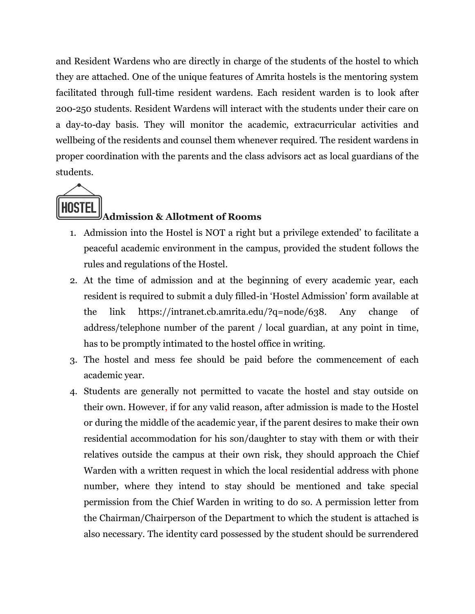and Resident Wardens who are directly in charge of the students of the hostel to which they are attached. One of the unique features of Amrita hostels is the mentoring system facilitated through full-time resident wardens. Each resident warden is to look after 200-250 students. Resident Wardens will interact with the students under their care on a day-to-day basis. They will monitor the academic, extracurricular activities and wellbeing of the residents and counsel them whenever required. The resident wardens in proper coordination with the parents and the class advisors act as local guardians of the students.



#### **Admission & Allotment of Rooms**

- 1. Admission into the Hostel is NOT a right but a privilege extended' to facilitate a peaceful academic environment in the campus, provided the student follows the rules and regulations of the Hostel.
- 2. At the time of admission and at the beginning of every academic year, each resident is required to submit a duly filled-in 'Hostel Admission' form available at the link https://intranet.cb.amrita.edu/?q=node/638. Any change of address/telephone number of the parent / local guardian, at any point in time, has to be promptly intimated to the hostel office in writing.
- 3. The hostel and mess fee should be paid before the commencement of each academic year.
- 4. Students are generally not permitted to vacate the hostel and stay outside on their own. However, if for any valid reason, after admission is made to the Hostel or during the middle of the academic year, if the parent desires to make their own residential accommodation for his son/daughter to stay with them or with their relatives outside the campus at their own risk, they should approach the Chief Warden with a written request in which the local residential address with phone number, where they intend to stay should be mentioned and take special permission from the Chief Warden in writing to do so. A permission letter from the Chairman/Chairperson of the Department to which the student is attached is also necessary. The identity card possessed by the student should be surrendered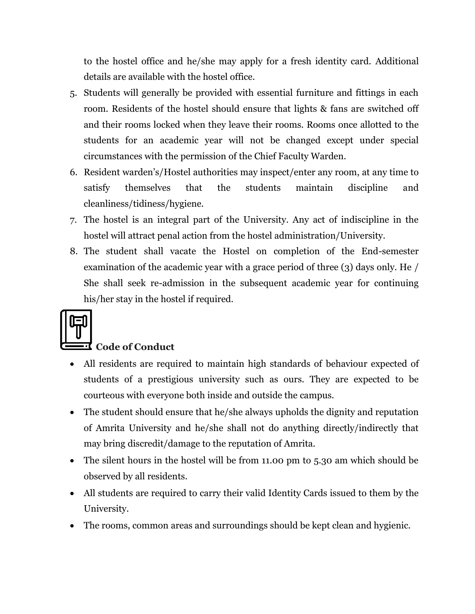to the hostel office and he/she may apply for a fresh identity card. Additional details are available with the hostel office.

- 5. Students will generally be provided with essential furniture and fittings in each room. Residents of the hostel should ensure that lights & fans are switched off and their rooms locked when they leave their rooms. Rooms once allotted to the students for an academic year will not be changed except under special circumstances with the permission of the Chief Faculty Warden.
- 6. Resident warden's/Hostel authorities may inspect/enter any room, at any time to satisfy themselves that the students maintain discipline and cleanliness/tidiness/hygiene.
- 7. The hostel is an integral part of the University. Any act of indiscipline in the hostel will attract penal action from the hostel administration/University.
- 8. The student shall vacate the Hostel on completion of the End-semester examination of the academic year with a grace period of three (3) days only. He / She shall seek re-admission in the subsequent academic year for continuing his/her stay in the hostel if required.

#### **Code of Conduct**

- All residents are required to maintain high standards of behaviour expected of students of a prestigious university such as ours. They are expected to be courteous with everyone both inside and outside the campus.
- The student should ensure that he/she always upholds the dignity and reputation of Amrita University and he/she shall not do anything directly/indirectly that may bring discredit/damage to the reputation of Amrita.
- The silent hours in the hostel will be from 11.00 pm to 5.30 am which should be observed by all residents.
- All students are required to carry their valid Identity Cards issued to them by the University.
- The rooms, common areas and surroundings should be kept clean and hygienic.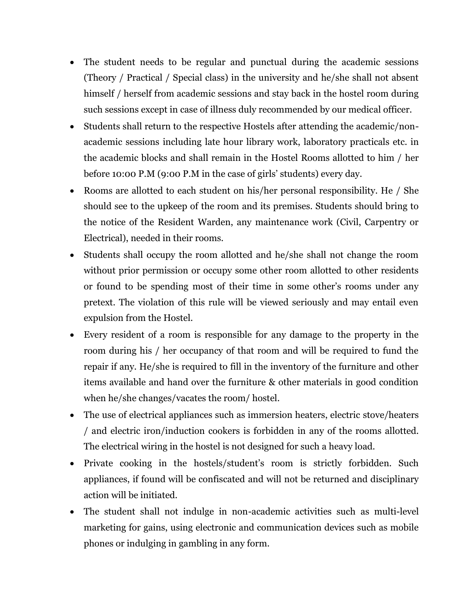- The student needs to be regular and punctual during the academic sessions (Theory / Practical / Special class) in the university and he/she shall not absent himself / herself from academic sessions and stay back in the hostel room during such sessions except in case of illness duly recommended by our medical officer.
- Students shall return to the respective Hostels after attending the academic/nonacademic sessions including late hour library work, laboratory practicals etc. in the academic blocks and shall remain in the Hostel Rooms allotted to him / her before 10:00 P.M (9:00 P.M in the case of girls' students) every day.
- Rooms are allotted to each student on his/her personal responsibility. He / She should see to the upkeep of the room and its premises. Students should bring to the notice of the Resident Warden, any maintenance work (Civil, Carpentry or Electrical), needed in their rooms.
- Students shall occupy the room allotted and he/she shall not change the room without prior permission or occupy some other room allotted to other residents or found to be spending most of their time in some other's rooms under any pretext. The violation of this rule will be viewed seriously and may entail even expulsion from the Hostel.
- Every resident of a room is responsible for any damage to the property in the room during his / her occupancy of that room and will be required to fund the repair if any. He/she is required to fill in the inventory of the furniture and other items available and hand over the furniture & other materials in good condition when he/she changes/vacates the room/ hostel.
- The use of electrical appliances such as immersion heaters, electric stove/heaters / and electric iron/induction cookers is forbidden in any of the rooms allotted. The electrical wiring in the hostel is not designed for such a heavy load.
- Private cooking in the hostels/student's room is strictly forbidden. Such appliances, if found will be confiscated and will not be returned and disciplinary action will be initiated.
- The student shall not indulge in non-academic activities such as multi-level marketing for gains, using electronic and communication devices such as mobile phones or indulging in gambling in any form.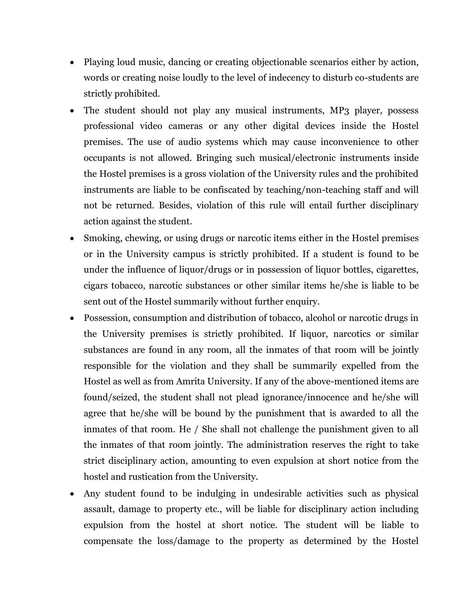- Playing loud music, dancing or creating objectionable scenarios either by action, words or creating noise loudly to the level of indecency to disturb co-students are strictly prohibited.
- The student should not play any musical instruments, MP3 player, possess professional video cameras or any other digital devices inside the Hostel premises. The use of audio systems which may cause inconvenience to other occupants is not allowed. Bringing such musical/electronic instruments inside the Hostel premises is a gross violation of the University rules and the prohibited instruments are liable to be confiscated by teaching/non-teaching staff and will not be returned. Besides, violation of this rule will entail further disciplinary action against the student.
- Smoking, chewing, or using drugs or narcotic items either in the Hostel premises or in the University campus is strictly prohibited. If a student is found to be under the influence of liquor/drugs or in possession of liquor bottles, cigarettes, cigars tobacco, narcotic substances or other similar items he/she is liable to be sent out of the Hostel summarily without further enquiry.
- Possession, consumption and distribution of tobacco, alcohol or narcotic drugs in the University premises is strictly prohibited. If liquor, narcotics or similar substances are found in any room, all the inmates of that room will be jointly responsible for the violation and they shall be summarily expelled from the Hostel as well as from Amrita University. If any of the above-mentioned items are found/seized, the student shall not plead ignorance/innocence and he/she will agree that he/she will be bound by the punishment that is awarded to all the inmates of that room. He / She shall not challenge the punishment given to all the inmates of that room jointly. The administration reserves the right to take strict disciplinary action, amounting to even expulsion at short notice from the hostel and rustication from the University.
- Any student found to be indulging in undesirable activities such as physical assault, damage to property etc., will be liable for disciplinary action including expulsion from the hostel at short notice. The student will be liable to compensate the loss/damage to the property as determined by the Hostel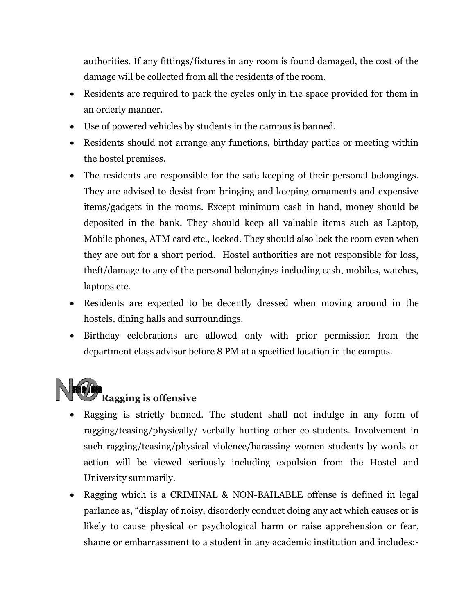authorities. If any fittings/fixtures in any room is found damaged, the cost of the damage will be collected from all the residents of the room.

- Residents are required to park the cycles only in the space provided for them in an orderly manner.
- Use of powered vehicles by students in the campus is banned.
- Residents should not arrange any functions, birthday parties or meeting within the hostel premises.
- The residents are responsible for the safe keeping of their personal belongings. They are advised to desist from bringing and keeping ornaments and expensive items/gadgets in the rooms. Except minimum cash in hand, money should be deposited in the bank. They should keep all valuable items such as Laptop, Mobile phones, ATM card etc., locked. They should also lock the room even when they are out for a short period. Hostel authorities are not responsible for loss, theft/damage to any of the personal belongings including cash, mobiles, watches, laptops etc.
- Residents are expected to be decently dressed when moving around in the hostels, dining halls and surroundings.
- Birthday celebrations are allowed only with prior permission from the department class advisor before 8 PM at a specified location in the campus.



- Ragging is strictly banned. The student shall not indulge in any form of ragging/teasing/physically/ verbally hurting other co-students. Involvement in such ragging/teasing/physical violence/harassing women students by words or action will be viewed seriously including expulsion from the Hostel and University summarily.
- Ragging which is a CRIMINAL & NON-BAILABLE offense is defined in legal parlance as, "display of noisy, disorderly conduct doing any act which causes or is likely to cause physical or psychological harm or raise apprehension or fear, shame or embarrassment to a student in any academic institution and includes:-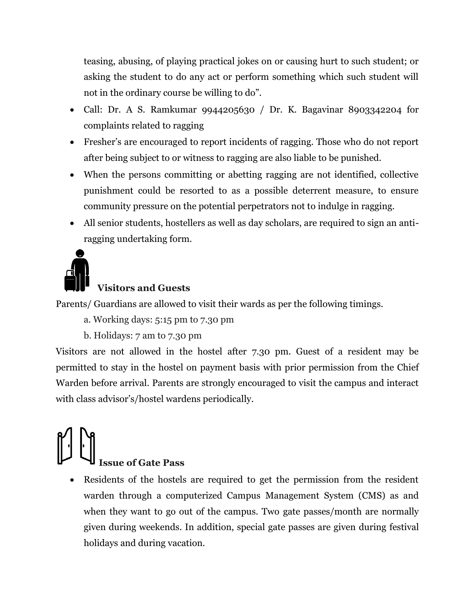teasing, abusing, of playing practical jokes on or causing hurt to such student; or asking the student to do any act or perform something which such student will not in the ordinary course be willing to do".

- Call: Dr. A S. Ramkumar 9944205630 / Dr. K. Bagavinar 8903342204 for complaints related to ragging
- Fresher's are encouraged to report incidents of ragging. Those who do not report after being subject to or witness to ragging are also liable to be punished.
- When the persons committing or abetting ragging are not identified, collective punishment could be resorted to as a possible deterrent measure, to ensure community pressure on the potential perpetrators not to indulge in ragging.
- All senior students, hostellers as well as day scholars, are required to sign an antiragging undertaking form.



#### **Visitors and Guests**

Parents/ Guardians are allowed to visit their wards as per the following timings.

- a. Working days: 5:15 pm to 7.30 pm
- b. Holidays: 7 am to 7.30 pm

Visitors are not allowed in the hostel after 7.30 pm. Guest of a resident may be permitted to stay in the hostel on payment basis with prior permission from the Chief Warden before arrival. Parents are strongly encouraged to visit the campus and interact with class advisor's/hostel wardens periodically.

# **Issue of Gate Pass**

 Residents of the hostels are required to get the permission from the resident warden through a computerized Campus Management System (CMS) as and when they want to go out of the campus. Two gate passes/month are normally given during weekends. In addition, special gate passes are given during festival holidays and during vacation.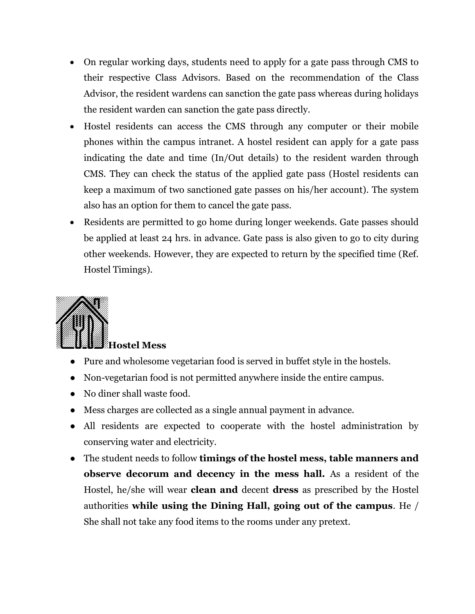- On regular working days, students need to apply for a gate pass through CMS to their respective Class Advisors. Based on the recommendation of the Class Advisor, the resident wardens can sanction the gate pass whereas during holidays the resident warden can sanction the gate pass directly.
- Hostel residents can access the CMS through any computer or their mobile phones within the campus intranet. A hostel resident can apply for a gate pass indicating the date and time (In/Out details) to the resident warden through CMS. They can check the status of the applied gate pass (Hostel residents can keep a maximum of two sanctioned gate passes on his/her account). The system also has an option for them to cancel the gate pass.
- Residents are permitted to go home during longer weekends. Gate passes should be applied at least 24 hrs. in advance. Gate pass is also given to go to city during other weekends. However, they are expected to return by the specified time (Ref. Hostel Timings).



- Pure and wholesome vegetarian food is served in buffet style in the hostels.
- Non-vegetarian food is not permitted anywhere inside the entire campus.
- No diner shall waste food.
- Mess charges are collected as a single annual payment in advance.
- All residents are expected to cooperate with the hostel administration by conserving water and electricity.
- The student needs to follow **timings of the hostel mess, table manners and observe decorum and decency in the mess hall.** As a resident of the Hostel, he/she will wear **clean and** decent **dress** as prescribed by the Hostel authorities **while using the Dining Hall, going out of the campus**. He / She shall not take any food items to the rooms under any pretext.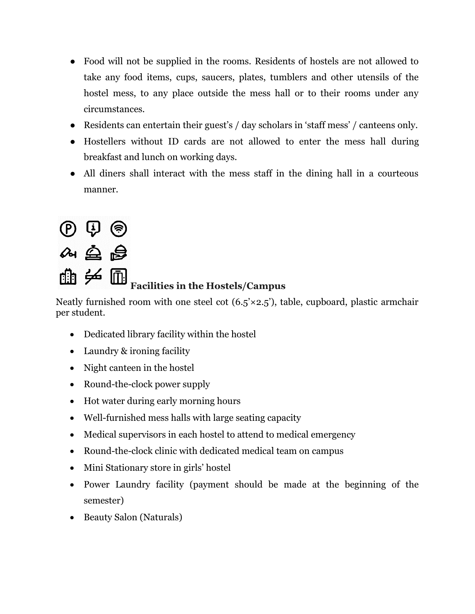- Food will not be supplied in the rooms. Residents of hostels are not allowed to take any food items, cups, saucers, plates, tumblers and other utensils of the hostel mess, to any place outside the mess hall or to their rooms under any circumstances.
- Residents can entertain their guest's / day scholars in 'staff mess' / canteens only.
- Hostellers without ID cards are not allowed to enter the mess hall during breakfast and lunch on working days.
- All diners shall interact with the mess staff in the dining hall in a courteous manner.

# $\circledcirc$   $\circledcirc$ 4.鱼岛 曲乡圃

## **Facilities in the Hostels/Campus**

Neatly furnished room with one steel cot  $(6.5 \times 2.5)$ , table, cupboard, plastic armchair per student.

- Dedicated library facility within the hostel
- Laundry & ironing facility
- Night canteen in the hostel
- Round-the-clock power supply
- Hot water during early morning hours
- Well-furnished mess halls with large seating capacity
- Medical supervisors in each hostel to attend to medical emergency
- Round-the-clock clinic with dedicated medical team on campus
- Mini Stationary store in girls' hostel
- Power Laundry facility (payment should be made at the beginning of the semester)
- Beauty Salon (Naturals)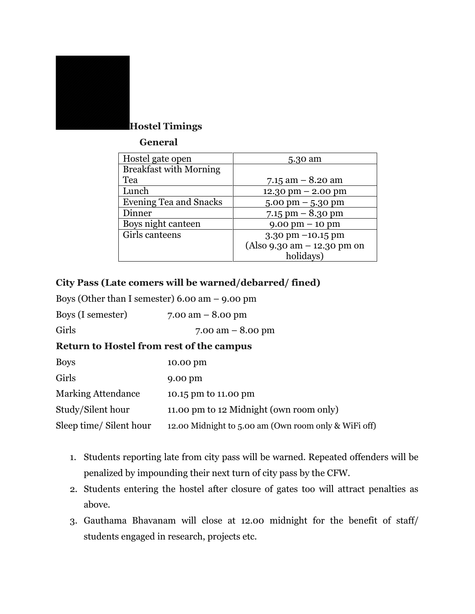

#### **Hostel Timings**

#### **General**

| Hostel gate open              | 5.30 am                              |  |
|-------------------------------|--------------------------------------|--|
| <b>Breakfast with Morning</b> |                                      |  |
| Tea                           | 7.15 am $-$ 8.20 am                  |  |
| Lunch                         | $12.30 \text{ pm} - 2.00 \text{ pm}$ |  |
| <b>Evening Tea and Snacks</b> | $5.00 \text{ pm} - 5.30 \text{ pm}$  |  |
| Dinner                        | 7.15 pm $-8.30$ pm                   |  |
| Boys night canteen            | $9.00 \text{ pm} - 10 \text{ pm}$    |  |
| Girls canteens                | $3.30 \text{ pm} - 10.15 \text{ pm}$ |  |
|                               | (Also 9.30 am - 12.30 pm on          |  |
|                               | holidays)                            |  |

#### **City Pass (Late comers will be warned/debarred/ fined)**

Boys (Other than I semester) 6.00 am – 9.00 pm

| Boys (I semester) | 7.00 am $-$ 8.00 pm |
|-------------------|---------------------|
|-------------------|---------------------|

Girls 7.00 am – 8.00 pm

#### **Return to Hostel from rest of the campus**

| <b>Boys</b>               | 10.00 pm                                             |
|---------------------------|------------------------------------------------------|
| Girls                     | $9.00 \text{ pm}$                                    |
| <b>Marking Attendance</b> | 10.15 pm to 11.00 pm                                 |
| Study/Silent hour         | 11.00 pm to 12 Midnight (own room only)              |
| Sleep time/ Silent hour   | 12.00 Midnight to 5.00 am (Own room only & WiFi off) |

- 1. Students reporting late from city pass will be warned. Repeated offenders will be penalized by impounding their next turn of city pass by the CFW.
- 2. Students entering the hostel after closure of gates too will attract penalties as above.
- 3. Gauthama Bhavanam will close at 12.00 midnight for the benefit of staff/ students engaged in research, projects etc.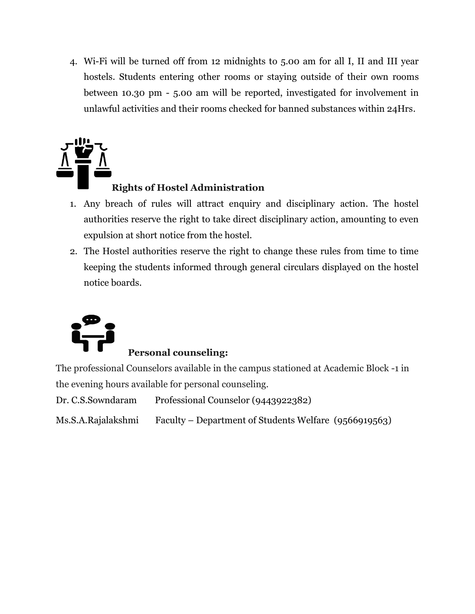4. Wi-Fi will be turned off from 12 midnights to 5.00 am for all I, II and III year hostels. Students entering other rooms or staying outside of their own rooms between 10.30 pm - 5.00 am will be reported, investigated for involvement in unlawful activities and their rooms checked for banned substances within 24Hrs.



#### **Rights of Hostel Administration**

- 1. Any breach of rules will attract enquiry and disciplinary action. The hostel authorities reserve the right to take direct disciplinary action, amounting to even expulsion at short notice from the hostel.
- 2. The Hostel authorities reserve the right to change these rules from time to time keeping the students informed through general circulars displayed on the hostel notice boards.



#### **Personal counseling:**

The professional Counselors available in the campus stationed at Academic Block -1 in the evening hours available for personal counseling.

Dr. C.S.Sowndaram Professional Counselor (9443922382)

Ms.S.A.Rajalakshmi Faculty – Department of Students Welfare (9566919563)